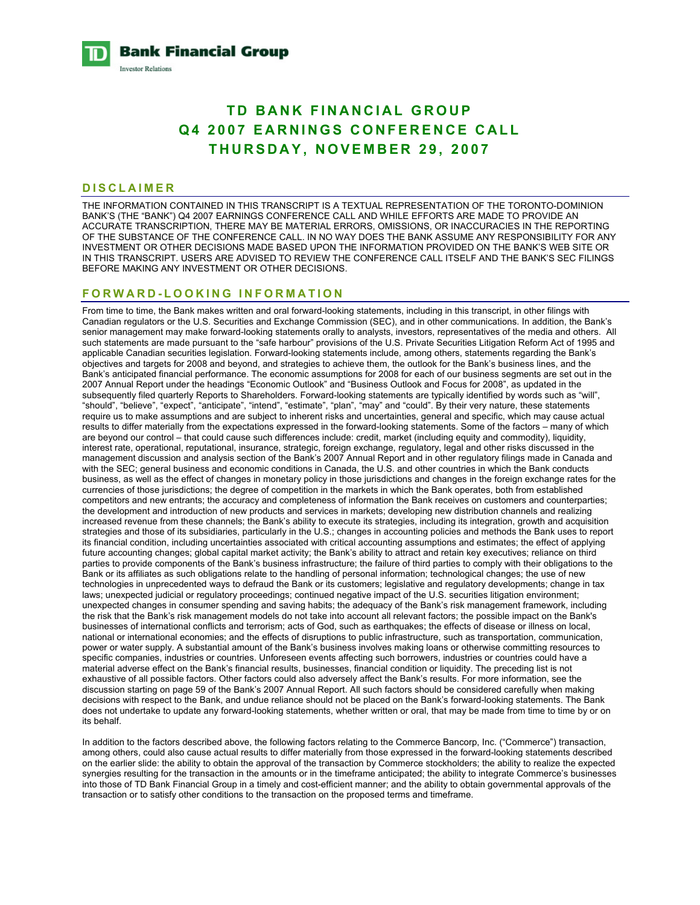**Bank Financial Group Investor Relations** 

# **TD BANK FINANCIAL GROUP Q4 2007 EARNINGS CONFERENCE CALL THURSDAY, NOVEMBER 29, 2007**

#### **DISCLAIMER**

THE INFORMATION CONTAINED IN THIS TRANSCRIPT IS A TEXTUAL REPRESENTATION OF THE TORONTO-DOMINION BANK'S (THE "BANK") Q4 2007 EARNINGS CONFERENCE CALL AND WHILE EFFORTS ARE MADE TO PROVIDE AN ACCURATE TRANSCRIPTION, THERE MAY BE MATERIAL ERRORS, OMISSIONS, OR INACCURACIES IN THE REPORTING OF THE SUBSTANCE OF THE CONFERENCE CALL. IN NO WAY DOES THE BANK ASSUME ANY RESPONSIBILITY FOR ANY INVESTMENT OR OTHER DECISIONS MADE BASED UPON THE INFORMATION PROVIDED ON THE BANK'S WEB SITE OR IN THIS TRANSCRIPT. USERS ARE ADVISED TO REVIEW THE CONFERENCE CALL ITSELF AND THE BANK'S SEC FILINGS BEFORE MAKING ANY INVESTMENT OR OTHER DECISIONS.

#### **FORWARD-LOOKING INFORMATION**

From time to time, the Bank makes written and oral forward-looking statements, including in this transcript, in other filings with Canadian regulators or the U.S. Securities and Exchange Commission (SEC), and in other communications. In addition, the Bank's senior management may make forward-looking statements orally to analysts, investors, representatives of the media and others. All such statements are made pursuant to the "safe harbour" provisions of the U.S. Private Securities Litigation Reform Act of 1995 and applicable Canadian securities legislation. Forward-looking statements include, among others, statements regarding the Bank's objectives and targets for 2008 and beyond, and strategies to achieve them, the outlook for the Bank's business lines, and the Bank's anticipated financial performance. The economic assumptions for 2008 for each of our business segments are set out in the 2007 Annual Report under the headings "Economic Outlook" and "Business Outlook and Focus for 2008", as updated in the subsequently filed quarterly Reports to Shareholders. Forward-looking statements are typically identified by words such as "will", "should", "believe", "expect", "anticipate", "intend", "estimate", "plan", "may" and "could". By their very nature, these statements require us to make assumptions and are subject to inherent risks and uncertainties, general and specific, which may cause actual results to differ materially from the expectations expressed in the forward-looking statements. Some of the factors – many of which are beyond our control – that could cause such differences include: credit, market (including equity and commodity), liquidity, interest rate, operational, reputational, insurance, strategic, foreign exchange, regulatory, legal and other risks discussed in the management discussion and analysis section of the Bank's 2007 Annual Report and in other regulatory filings made in Canada and with the SEC; general business and economic conditions in Canada, the U.S. and other countries in which the Bank conducts business, as well as the effect of changes in monetary policy in those jurisdictions and changes in the foreign exchange rates for the currencies of those jurisdictions; the degree of competition in the markets in which the Bank operates, both from established competitors and new entrants; the accuracy and completeness of information the Bank receives on customers and counterparties; the development and introduction of new products and services in markets; developing new distribution channels and realizing increased revenue from these channels; the Bank's ability to execute its strategies, including its integration, growth and acquisition strategies and those of its subsidiaries, particularly in the U.S.; changes in accounting policies and methods the Bank uses to report its financial condition, including uncertainties associated with critical accounting assumptions and estimates; the effect of applying future accounting changes; global capital market activity; the Bank's ability to attract and retain key executives; reliance on third parties to provide components of the Bank's business infrastructure; the failure of third parties to comply with their obligations to the Bank or its affiliates as such obligations relate to the handling of personal information; technological changes; the use of new technologies in unprecedented ways to defraud the Bank or its customers; legislative and regulatory developments; change in tax laws; unexpected judicial or regulatory proceedings; continued negative impact of the U.S. securities litigation environment; unexpected changes in consumer spending and saving habits; the adequacy of the Bank's risk management framework, including the risk that the Bank's risk management models do not take into account all relevant factors; the possible impact on the Bank's businesses of international conflicts and terrorism; acts of God, such as earthquakes; the effects of disease or illness on local, national or international economies; and the effects of disruptions to public infrastructure, such as transportation, communication, power or water supply. A substantial amount of the Bank's business involves making loans or otherwise committing resources to specific companies, industries or countries. Unforeseen events affecting such borrowers, industries or countries could have a material adverse effect on the Bank's financial results, businesses, financial condition or liquidity. The preceding list is not exhaustive of all possible factors. Other factors could also adversely affect the Bank's results. For more information, see the discussion starting on page 59 of the Bank's 2007 Annual Report. All such factors should be considered carefully when making decisions with respect to the Bank, and undue reliance should not be placed on the Bank's forward-looking statements. The Bank does not undertake to update any forward-looking statements, whether written or oral, that may be made from time to time by or on its behalf.

In addition to the factors described above, the following factors relating to the Commerce Bancorp, Inc. ("Commerce") transaction, among others, could also cause actual results to differ materially from those expressed in the forward-looking statements described on the earlier slide: the ability to obtain the approval of the transaction by Commerce stockholders; the ability to realize the expected synergies resulting for the transaction in the amounts or in the timeframe anticipated; the ability to integrate Commerce's businesses into those of TD Bank Financial Group in a timely and cost-efficient manner; and the ability to obtain governmental approvals of the transaction or to satisfy other conditions to the transaction on the proposed terms and timeframe.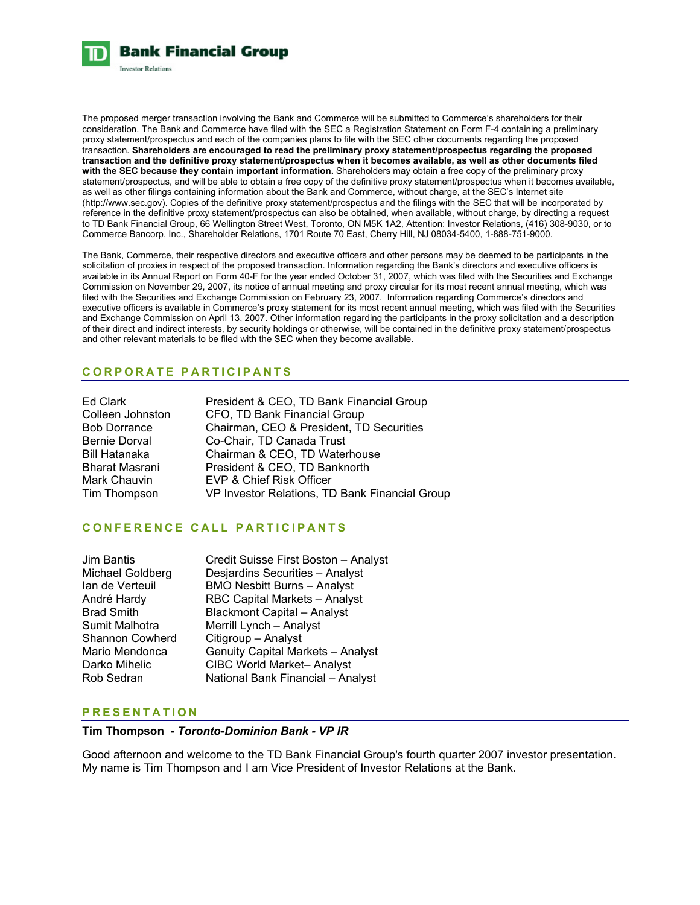

The proposed merger transaction involving the Bank and Commerce will be submitted to Commerce's shareholders for their consideration. The Bank and Commerce have filed with the SEC a Registration Statement on Form F-4 containing a preliminary proxy statement/prospectus and each of the companies plans to file with the SEC other documents regarding the proposed transaction. **Shareholders are encouraged to read the preliminary proxy statement/prospectus regarding the proposed transaction and the definitive proxy statement/prospectus when it becomes available, as well as other documents filed with the SEC because they contain important information.** Shareholders may obtain a free copy of the preliminary proxy statement/prospectus, and will be able to obtain a free copy of the definitive proxy statement/prospectus when it becomes available, as well as other filings containing information about the Bank and Commerce, without charge, at the SEC's Internet site (http://www.sec.gov). Copies of the definitive proxy statement/prospectus and the filings with the SEC that will be incorporated by reference in the definitive proxy statement/prospectus can also be obtained, when available, without charge, by directing a request to TD Bank Financial Group, 66 Wellington Street West, Toronto, ON M5K 1A2, Attention: Investor Relations, (416) 308-9030, or to Commerce Bancorp, Inc., Shareholder Relations, 1701 Route 70 East, Cherry Hill, NJ 08034-5400, 1-888-751-9000.

The Bank, Commerce, their respective directors and executive officers and other persons may be deemed to be participants in the solicitation of proxies in respect of the proposed transaction. Information regarding the Bank's directors and executive officers is available in its Annual Report on Form 40-F for the year ended October 31, 2007, which was filed with the Securities and Exchange Commission on November 29, 2007, its notice of annual meeting and proxy circular for its most recent annual meeting, which was filed with the Securities and Exchange Commission on February 23, 2007. Information regarding Commerce's directors and executive officers is available in Commerce's proxy statement for its most recent annual meeting, which was filed with the Securities and Exchange Commission on April 13, 2007. Other information regarding the participants in the proxy solicitation and a description of their direct and indirect interests, by security holdings or otherwise, will be contained in the definitive proxy statement/prospectus and other relevant materials to be filed with the SEC when they become available.

# **CORPORATE PARTICIPANTS**

| Ed Clark             | President & CEO, TD Bank Financial Group       |
|----------------------|------------------------------------------------|
| Colleen Johnston     | CFO, TD Bank Financial Group                   |
| <b>Bob Dorrance</b>  | Chairman, CEO & President, TD Securities       |
| <b>Bernie Dorval</b> | Co-Chair, TD Canada Trust                      |
| <b>Bill Hatanaka</b> | Chairman & CEO, TD Waterhouse                  |
| Bharat Masrani       | President & CEO, TD Banknorth                  |
| Mark Chauvin         | EVP & Chief Risk Officer                       |
| Tim Thompson         | VP Investor Relations, TD Bank Financial Group |

# **CONFERENCE CALL PARTICIPANTS**

| <b>Jim Bantis</b>      | Credit Suisse First Boston - Analyst     |
|------------------------|------------------------------------------|
| Michael Goldberg       | Desjardins Securities - Analyst          |
| lan de Verteuil        | <b>BMO Nesbitt Burns - Analyst</b>       |
| André Hardy            | <b>RBC Capital Markets - Analyst</b>     |
| <b>Brad Smith</b>      | <b>Blackmont Capital - Analyst</b>       |
| Sumit Malhotra         | Merrill Lynch - Analyst                  |
| <b>Shannon Cowherd</b> | Citigroup - Analyst                      |
| Mario Mendonca         | <b>Genuity Capital Markets - Analyst</b> |
| Darko Mihelic          | <b>CIBC World Market-Analyst</b>         |
| Rob Sedran             | National Bank Financial - Analyst        |

## **PRESENTATION**

#### **Tim Thompson** *- Toronto-Dominion Bank - VP IR*

Good afternoon and welcome to the TD Bank Financial Group's fourth quarter 2007 investor presentation. My name is Tim Thompson and I am Vice President of Investor Relations at the Bank.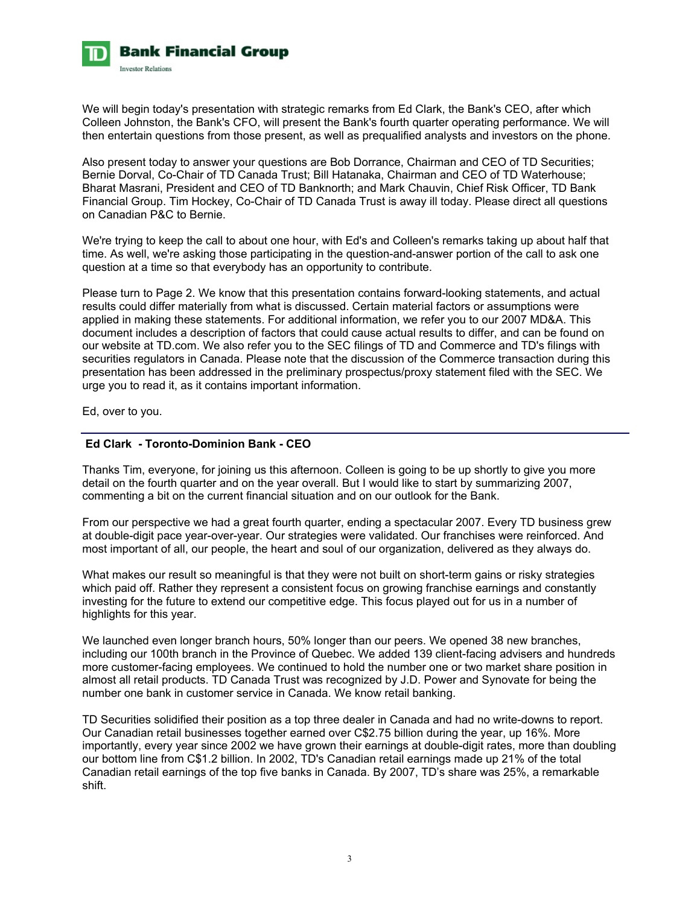

We will begin today's presentation with strategic remarks from Ed Clark, the Bank's CEO, after which Colleen Johnston, the Bank's CFO, will present the Bank's fourth quarter operating performance. We will then entertain questions from those present, as well as prequalified analysts and investors on the phone.

Also present today to answer your questions are Bob Dorrance, Chairman and CEO of TD Securities; Bernie Dorval, Co-Chair of TD Canada Trust; Bill Hatanaka, Chairman and CEO of TD Waterhouse; Bharat Masrani, President and CEO of TD Banknorth; and Mark Chauvin, Chief Risk Officer, TD Bank Financial Group. Tim Hockey, Co-Chair of TD Canada Trust is away ill today. Please direct all questions on Canadian P&C to Bernie.

We're trying to keep the call to about one hour, with Ed's and Colleen's remarks taking up about half that time. As well, we're asking those participating in the question-and-answer portion of the call to ask one question at a time so that everybody has an opportunity to contribute.

Please turn to Page 2. We know that this presentation contains forward-looking statements, and actual results could differ materially from what is discussed. Certain material factors or assumptions were applied in making these statements. For additional information, we refer you to our 2007 MD&A. This document includes a description of factors that could cause actual results to differ, and can be found on our website at TD.com. We also refer you to the SEC filings of TD and Commerce and TD's filings with securities regulators in Canada. Please note that the discussion of the Commerce transaction during this presentation has been addressed in the preliminary prospectus/proxy statement filed with the SEC. We urge you to read it, as it contains important information.

Ed, over to you.

# **Ed Clark - Toronto-Dominion Bank - CEO**

Thanks Tim, everyone, for joining us this afternoon. Colleen is going to be up shortly to give you more detail on the fourth quarter and on the year overall. But I would like to start by summarizing 2007, commenting a bit on the current financial situation and on our outlook for the Bank.

From our perspective we had a great fourth quarter, ending a spectacular 2007. Every TD business grew at double-digit pace year-over-year. Our strategies were validated. Our franchises were reinforced. And most important of all, our people, the heart and soul of our organization, delivered as they always do.

What makes our result so meaningful is that they were not built on short-term gains or risky strategies which paid off. Rather they represent a consistent focus on growing franchise earnings and constantly investing for the future to extend our competitive edge. This focus played out for us in a number of highlights for this year.

We launched even longer branch hours, 50% longer than our peers. We opened 38 new branches, including our 100th branch in the Province of Quebec. We added 139 client-facing advisers and hundreds more customer-facing employees. We continued to hold the number one or two market share position in almost all retail products. TD Canada Trust was recognized by J.D. Power and Synovate for being the number one bank in customer service in Canada. We know retail banking.

TD Securities solidified their position as a top three dealer in Canada and had no write-downs to report. Our Canadian retail businesses together earned over C\$2.75 billion during the year, up 16%. More importantly, every year since 2002 we have grown their earnings at double-digit rates, more than doubling our bottom line from C\$1.2 billion. In 2002, TD's Canadian retail earnings made up 21% of the total Canadian retail earnings of the top five banks in Canada. By 2007, TD's share was 25%, a remarkable shift.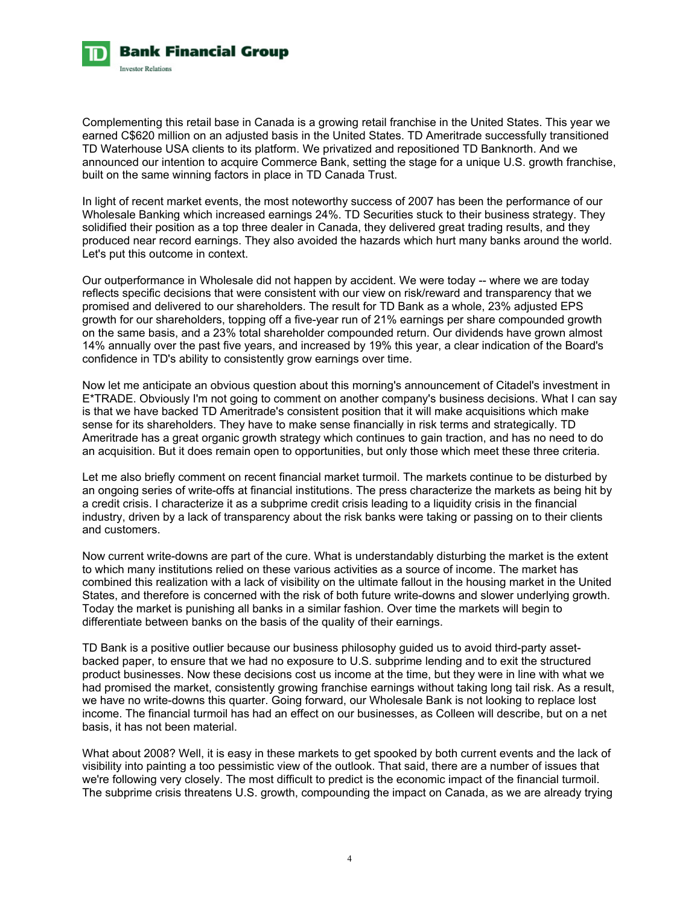

Complementing this retail base in Canada is a growing retail franchise in the United States. This year we earned C\$620 million on an adjusted basis in the United States. TD Ameritrade successfully transitioned TD Waterhouse USA clients to its platform. We privatized and repositioned TD Banknorth. And we announced our intention to acquire Commerce Bank, setting the stage for a unique U.S. growth franchise, built on the same winning factors in place in TD Canada Trust.

In light of recent market events, the most noteworthy success of 2007 has been the performance of our Wholesale Banking which increased earnings 24%. TD Securities stuck to their business strategy. They solidified their position as a top three dealer in Canada, they delivered great trading results, and they produced near record earnings. They also avoided the hazards which hurt many banks around the world. Let's put this outcome in context.

Our outperformance in Wholesale did not happen by accident. We were today -- where we are today reflects specific decisions that were consistent with our view on risk/reward and transparency that we promised and delivered to our shareholders. The result for TD Bank as a whole, 23% adjusted EPS growth for our shareholders, topping off a five-year run of 21% earnings per share compounded growth on the same basis, and a 23% total shareholder compounded return. Our dividends have grown almost 14% annually over the past five years, and increased by 19% this year, a clear indication of the Board's confidence in TD's ability to consistently grow earnings over time.

Now let me anticipate an obvious question about this morning's announcement of Citadel's investment in E\*TRADE. Obviously I'm not going to comment on another company's business decisions. What I can say is that we have backed TD Ameritrade's consistent position that it will make acquisitions which make sense for its shareholders. They have to make sense financially in risk terms and strategically. TD Ameritrade has a great organic growth strategy which continues to gain traction, and has no need to do an acquisition. But it does remain open to opportunities, but only those which meet these three criteria.

Let me also briefly comment on recent financial market turmoil. The markets continue to be disturbed by an ongoing series of write-offs at financial institutions. The press characterize the markets as being hit by a credit crisis. I characterize it as a subprime credit crisis leading to a liquidity crisis in the financial industry, driven by a lack of transparency about the risk banks were taking or passing on to their clients and customers.

Now current write-downs are part of the cure. What is understandably disturbing the market is the extent to which many institutions relied on these various activities as a source of income. The market has combined this realization with a lack of visibility on the ultimate fallout in the housing market in the United States, and therefore is concerned with the risk of both future write-downs and slower underlying growth. Today the market is punishing all banks in a similar fashion. Over time the markets will begin to differentiate between banks on the basis of the quality of their earnings.

TD Bank is a positive outlier because our business philosophy guided us to avoid third-party assetbacked paper, to ensure that we had no exposure to U.S. subprime lending and to exit the structured product businesses. Now these decisions cost us income at the time, but they were in line with what we had promised the market, consistently growing franchise earnings without taking long tail risk. As a result, we have no write-downs this quarter. Going forward, our Wholesale Bank is not looking to replace lost income. The financial turmoil has had an effect on our businesses, as Colleen will describe, but on a net basis, it has not been material.

What about 2008? Well, it is easy in these markets to get spooked by both current events and the lack of visibility into painting a too pessimistic view of the outlook. That said, there are a number of issues that we're following very closely. The most difficult to predict is the economic impact of the financial turmoil. The subprime crisis threatens U.S. growth, compounding the impact on Canada, as we are already trying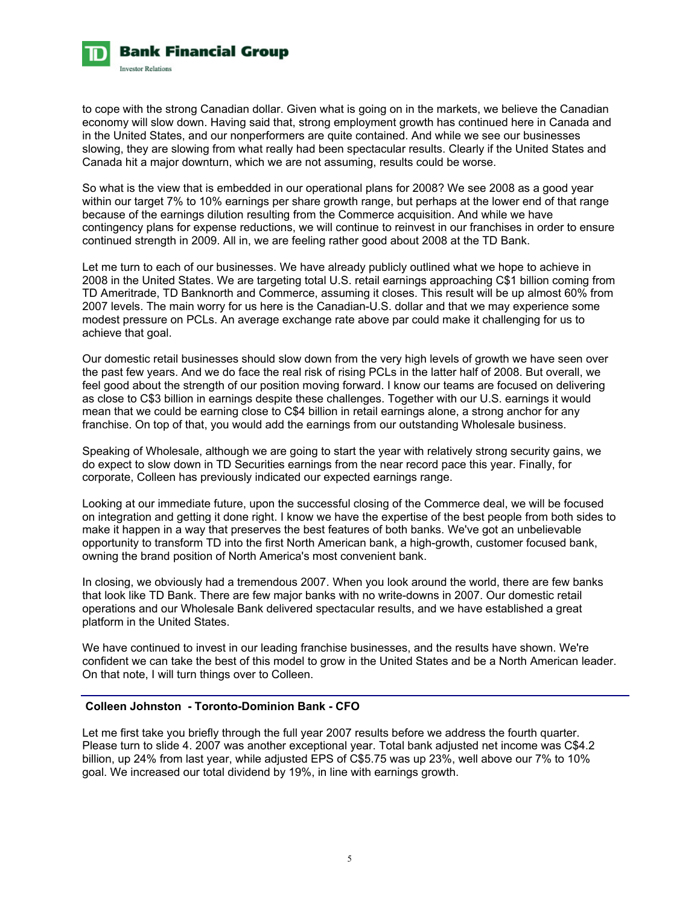

to cope with the strong Canadian dollar. Given what is going on in the markets, we believe the Canadian economy will slow down. Having said that, strong employment growth has continued here in Canada and in the United States, and our nonperformers are quite contained. And while we see our businesses slowing, they are slowing from what really had been spectacular results. Clearly if the United States and Canada hit a major downturn, which we are not assuming, results could be worse.

So what is the view that is embedded in our operational plans for 2008? We see 2008 as a good year within our target 7% to 10% earnings per share growth range, but perhaps at the lower end of that range because of the earnings dilution resulting from the Commerce acquisition. And while we have contingency plans for expense reductions, we will continue to reinvest in our franchises in order to ensure continued strength in 2009. All in, we are feeling rather good about 2008 at the TD Bank.

Let me turn to each of our businesses. We have already publicly outlined what we hope to achieve in 2008 in the United States. We are targeting total U.S. retail earnings approaching C\$1 billion coming from TD Ameritrade, TD Banknorth and Commerce, assuming it closes. This result will be up almost 60% from 2007 levels. The main worry for us here is the Canadian-U.S. dollar and that we may experience some modest pressure on PCLs. An average exchange rate above par could make it challenging for us to achieve that goal.

Our domestic retail businesses should slow down from the very high levels of growth we have seen over the past few years. And we do face the real risk of rising PCLs in the latter half of 2008. But overall, we feel good about the strength of our position moving forward. I know our teams are focused on delivering as close to C\$3 billion in earnings despite these challenges. Together with our U.S. earnings it would mean that we could be earning close to C\$4 billion in retail earnings alone, a strong anchor for any franchise. On top of that, you would add the earnings from our outstanding Wholesale business.

Speaking of Wholesale, although we are going to start the year with relatively strong security gains, we do expect to slow down in TD Securities earnings from the near record pace this year. Finally, for corporate, Colleen has previously indicated our expected earnings range.

Looking at our immediate future, upon the successful closing of the Commerce deal, we will be focused on integration and getting it done right. I know we have the expertise of the best people from both sides to make it happen in a way that preserves the best features of both banks. We've got an unbelievable opportunity to transform TD into the first North American bank, a high-growth, customer focused bank, owning the brand position of North America's most convenient bank.

In closing, we obviously had a tremendous 2007. When you look around the world, there are few banks that look like TD Bank. There are few major banks with no write-downs in 2007. Our domestic retail operations and our Wholesale Bank delivered spectacular results, and we have established a great platform in the United States.

We have continued to invest in our leading franchise businesses, and the results have shown. We're confident we can take the best of this model to grow in the United States and be a North American leader. On that note, I will turn things over to Colleen.

# **Colleen Johnston - Toronto-Dominion Bank - CFO**

Let me first take you briefly through the full year 2007 results before we address the fourth quarter. Please turn to slide 4. 2007 was another exceptional year. Total bank adjusted net income was C\$4.2 billion, up 24% from last year, while adjusted EPS of C\$5.75 was up 23%, well above our 7% to 10% goal. We increased our total dividend by 19%, in line with earnings growth.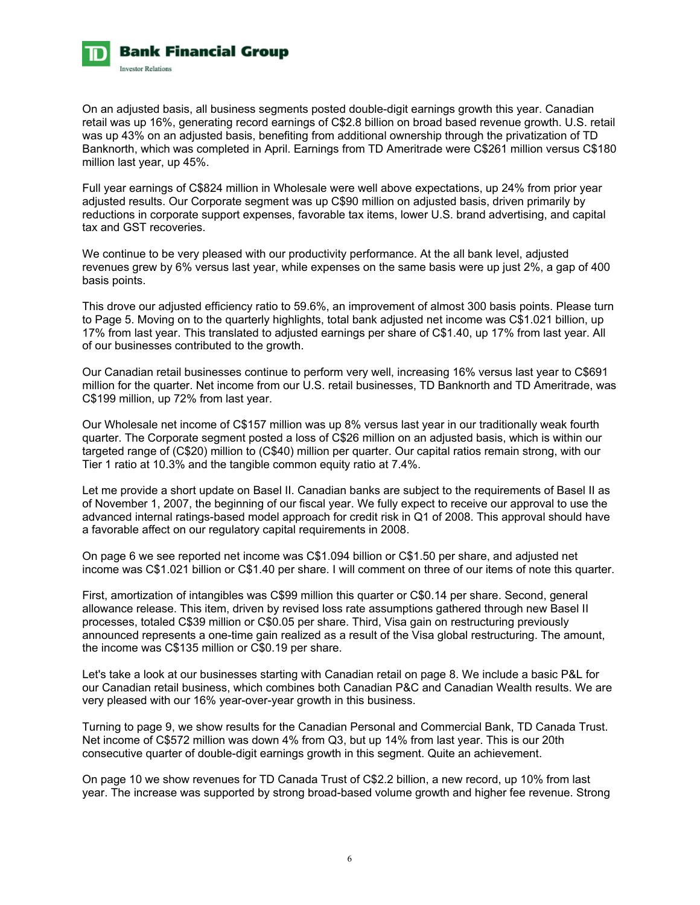

On an adjusted basis, all business segments posted double-digit earnings growth this year. Canadian retail was up 16%, generating record earnings of C\$2.8 billion on broad based revenue growth. U.S. retail was up 43% on an adjusted basis, benefiting from additional ownership through the privatization of TD Banknorth, which was completed in April. Earnings from TD Ameritrade were C\$261 million versus C\$180 million last year, up 45%.

Full year earnings of C\$824 million in Wholesale were well above expectations, up 24% from prior year adjusted results. Our Corporate segment was up C\$90 million on adjusted basis, driven primarily by reductions in corporate support expenses, favorable tax items, lower U.S. brand advertising, and capital tax and GST recoveries.

We continue to be very pleased with our productivity performance. At the all bank level, adjusted revenues grew by 6% versus last year, while expenses on the same basis were up just 2%, a gap of 400 basis points.

This drove our adjusted efficiency ratio to 59.6%, an improvement of almost 300 basis points. Please turn to Page 5. Moving on to the quarterly highlights, total bank adjusted net income was C\$1.021 billion, up 17% from last year. This translated to adjusted earnings per share of C\$1.40, up 17% from last year. All of our businesses contributed to the growth.

Our Canadian retail businesses continue to perform very well, increasing 16% versus last year to C\$691 million for the quarter. Net income from our U.S. retail businesses, TD Banknorth and TD Ameritrade, was C\$199 million, up 72% from last year.

Our Wholesale net income of C\$157 million was up 8% versus last year in our traditionally weak fourth quarter. The Corporate segment posted a loss of C\$26 million on an adjusted basis, which is within our targeted range of (C\$20) million to (C\$40) million per quarter. Our capital ratios remain strong, with our Tier 1 ratio at 10.3% and the tangible common equity ratio at 7.4%.

Let me provide a short update on Basel II. Canadian banks are subject to the requirements of Basel II as of November 1, 2007, the beginning of our fiscal year. We fully expect to receive our approval to use the advanced internal ratings-based model approach for credit risk in Q1 of 2008. This approval should have a favorable affect on our regulatory capital requirements in 2008.

On page 6 we see reported net income was C\$1.094 billion or C\$1.50 per share, and adjusted net income was C\$1.021 billion or C\$1.40 per share. I will comment on three of our items of note this quarter.

First, amortization of intangibles was C\$99 million this quarter or C\$0.14 per share. Second, general allowance release. This item, driven by revised loss rate assumptions gathered through new Basel II processes, totaled C\$39 million or C\$0.05 per share. Third, Visa gain on restructuring previously announced represents a one-time gain realized as a result of the Visa global restructuring. The amount, the income was C\$135 million or C\$0.19 per share.

Let's take a look at our businesses starting with Canadian retail on page 8. We include a basic P&L for our Canadian retail business, which combines both Canadian P&C and Canadian Wealth results. We are very pleased with our 16% year-over-year growth in this business.

Turning to page 9, we show results for the Canadian Personal and Commercial Bank, TD Canada Trust. Net income of C\$572 million was down 4% from Q3, but up 14% from last year. This is our 20th consecutive quarter of double-digit earnings growth in this segment. Quite an achievement.

On page 10 we show revenues for TD Canada Trust of C\$2.2 billion, a new record, up 10% from last year. The increase was supported by strong broad-based volume growth and higher fee revenue. Strong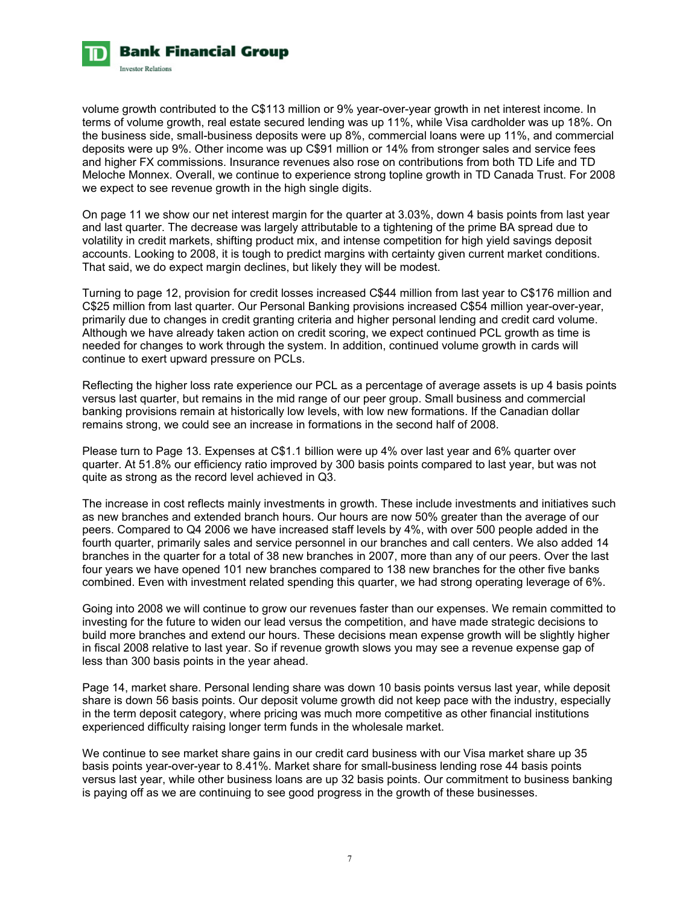

volume growth contributed to the C\$113 million or 9% year-over-year growth in net interest income. In terms of volume growth, real estate secured lending was up 11%, while Visa cardholder was up 18%. On the business side, small-business deposits were up 8%, commercial loans were up 11%, and commercial deposits were up 9%. Other income was up C\$91 million or 14% from stronger sales and service fees and higher FX commissions. Insurance revenues also rose on contributions from both TD Life and TD Meloche Monnex. Overall, we continue to experience strong topline growth in TD Canada Trust. For 2008 we expect to see revenue growth in the high single digits.

On page 11 we show our net interest margin for the quarter at 3.03%, down 4 basis points from last year and last quarter. The decrease was largely attributable to a tightening of the prime BA spread due to volatility in credit markets, shifting product mix, and intense competition for high yield savings deposit accounts. Looking to 2008, it is tough to predict margins with certainty given current market conditions. That said, we do expect margin declines, but likely they will be modest.

Turning to page 12, provision for credit losses increased C\$44 million from last year to C\$176 million and C\$25 million from last quarter. Our Personal Banking provisions increased C\$54 million year-over-year, primarily due to changes in credit granting criteria and higher personal lending and credit card volume. Although we have already taken action on credit scoring, we expect continued PCL growth as time is needed for changes to work through the system. In addition, continued volume growth in cards will continue to exert upward pressure on PCLs.

Reflecting the higher loss rate experience our PCL as a percentage of average assets is up 4 basis points versus last quarter, but remains in the mid range of our peer group. Small business and commercial banking provisions remain at historically low levels, with low new formations. If the Canadian dollar remains strong, we could see an increase in formations in the second half of 2008.

Please turn to Page 13. Expenses at C\$1.1 billion were up 4% over last year and 6% quarter over quarter. At 51.8% our efficiency ratio improved by 300 basis points compared to last year, but was not quite as strong as the record level achieved in Q3.

The increase in cost reflects mainly investments in growth. These include investments and initiatives such as new branches and extended branch hours. Our hours are now 50% greater than the average of our peers. Compared to Q4 2006 we have increased staff levels by 4%, with over 500 people added in the fourth quarter, primarily sales and service personnel in our branches and call centers. We also added 14 branches in the quarter for a total of 38 new branches in 2007, more than any of our peers. Over the last four years we have opened 101 new branches compared to 138 new branches for the other five banks combined. Even with investment related spending this quarter, we had strong operating leverage of 6%.

Going into 2008 we will continue to grow our revenues faster than our expenses. We remain committed to investing for the future to widen our lead versus the competition, and have made strategic decisions to build more branches and extend our hours. These decisions mean expense growth will be slightly higher in fiscal 2008 relative to last year. So if revenue growth slows you may see a revenue expense gap of less than 300 basis points in the year ahead.

Page 14, market share. Personal lending share was down 10 basis points versus last year, while deposit share is down 56 basis points. Our deposit volume growth did not keep pace with the industry, especially in the term deposit category, where pricing was much more competitive as other financial institutions experienced difficulty raising longer term funds in the wholesale market.

We continue to see market share gains in our credit card business with our Visa market share up 35 basis points year-over-year to 8.41%. Market share for small-business lending rose 44 basis points versus last year, while other business loans are up 32 basis points. Our commitment to business banking is paying off as we are continuing to see good progress in the growth of these businesses.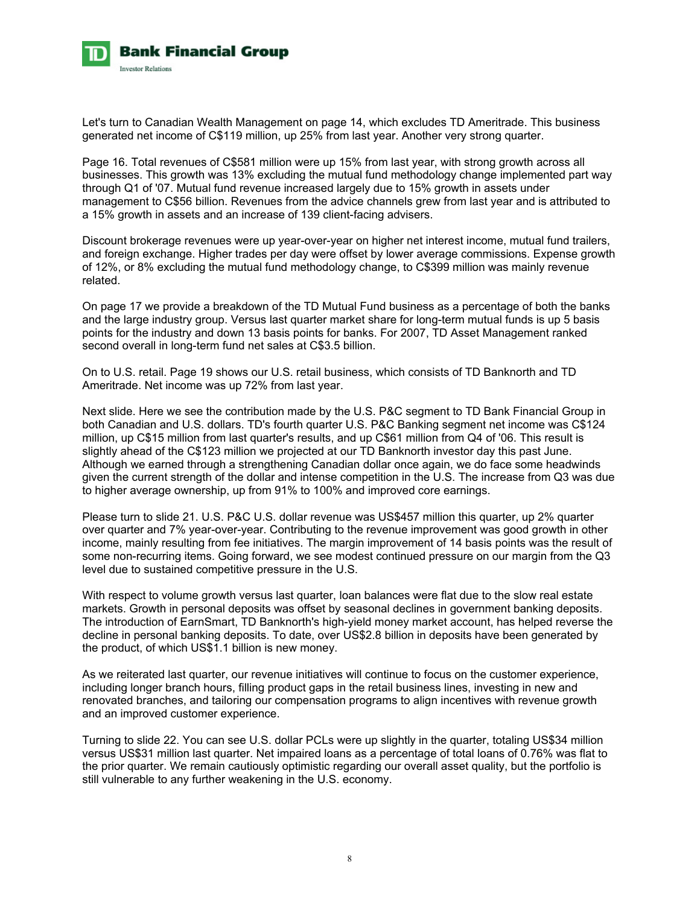

Let's turn to Canadian Wealth Management on page 14, which excludes TD Ameritrade. This business generated net income of C\$119 million, up 25% from last year. Another very strong quarter.

Page 16. Total revenues of C\$581 million were up 15% from last year, with strong growth across all businesses. This growth was 13% excluding the mutual fund methodology change implemented part way through Q1 of '07. Mutual fund revenue increased largely due to 15% growth in assets under management to C\$56 billion. Revenues from the advice channels grew from last year and is attributed to a 15% growth in assets and an increase of 139 client-facing advisers.

Discount brokerage revenues were up year-over-year on higher net interest income, mutual fund trailers, and foreign exchange. Higher trades per day were offset by lower average commissions. Expense growth of 12%, or 8% excluding the mutual fund methodology change, to C\$399 million was mainly revenue related.

On page 17 we provide a breakdown of the TD Mutual Fund business as a percentage of both the banks and the large industry group. Versus last quarter market share for long-term mutual funds is up 5 basis points for the industry and down 13 basis points for banks. For 2007, TD Asset Management ranked second overall in long-term fund net sales at C\$3.5 billion.

On to U.S. retail. Page 19 shows our U.S. retail business, which consists of TD Banknorth and TD Ameritrade. Net income was up 72% from last year.

Next slide. Here we see the contribution made by the U.S. P&C segment to TD Bank Financial Group in both Canadian and U.S. dollars. TD's fourth quarter U.S. P&C Banking segment net income was C\$124 million, up C\$15 million from last quarter's results, and up C\$61 million from Q4 of '06. This result is slightly ahead of the C\$123 million we projected at our TD Banknorth investor day this past June. Although we earned through a strengthening Canadian dollar once again, we do face some headwinds given the current strength of the dollar and intense competition in the U.S. The increase from Q3 was due to higher average ownership, up from 91% to 100% and improved core earnings.

Please turn to slide 21. U.S. P&C U.S. dollar revenue was US\$457 million this quarter, up 2% quarter over quarter and 7% year-over-year. Contributing to the revenue improvement was good growth in other income, mainly resulting from fee initiatives. The margin improvement of 14 basis points was the result of some non-recurring items. Going forward, we see modest continued pressure on our margin from the Q3 level due to sustained competitive pressure in the U.S.

With respect to volume growth versus last quarter, loan balances were flat due to the slow real estate markets. Growth in personal deposits was offset by seasonal declines in government banking deposits. The introduction of EarnSmart, TD Banknorth's high-yield money market account, has helped reverse the decline in personal banking deposits. To date, over US\$2.8 billion in deposits have been generated by the product, of which US\$1.1 billion is new money.

As we reiterated last quarter, our revenue initiatives will continue to focus on the customer experience, including longer branch hours, filling product gaps in the retail business lines, investing in new and renovated branches, and tailoring our compensation programs to align incentives with revenue growth and an improved customer experience.

Turning to slide 22. You can see U.S. dollar PCLs were up slightly in the quarter, totaling US\$34 million versus US\$31 million last quarter. Net impaired loans as a percentage of total loans of 0.76% was flat to the prior quarter. We remain cautiously optimistic regarding our overall asset quality, but the portfolio is still vulnerable to any further weakening in the U.S. economy.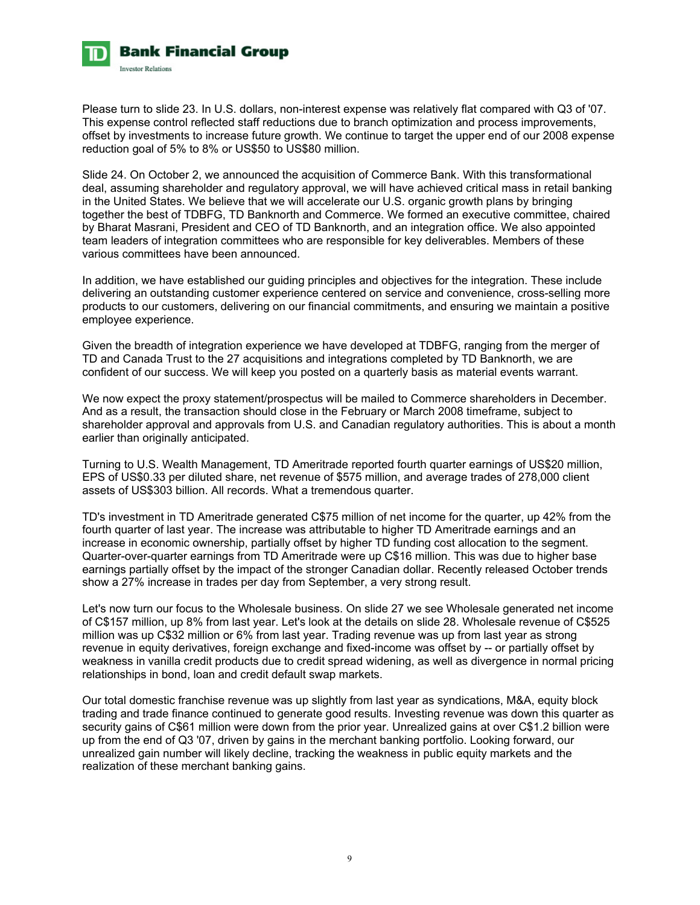

Please turn to slide 23. In U.S. dollars, non-interest expense was relatively flat compared with Q3 of '07. This expense control reflected staff reductions due to branch optimization and process improvements, offset by investments to increase future growth. We continue to target the upper end of our 2008 expense reduction goal of 5% to 8% or US\$50 to US\$80 million.

Slide 24. On October 2, we announced the acquisition of Commerce Bank. With this transformational deal, assuming shareholder and regulatory approval, we will have achieved critical mass in retail banking in the United States. We believe that we will accelerate our U.S. organic growth plans by bringing together the best of TDBFG, TD Banknorth and Commerce. We formed an executive committee, chaired by Bharat Masrani, President and CEO of TD Banknorth, and an integration office. We also appointed team leaders of integration committees who are responsible for key deliverables. Members of these various committees have been announced.

In addition, we have established our guiding principles and objectives for the integration. These include delivering an outstanding customer experience centered on service and convenience, cross-selling more products to our customers, delivering on our financial commitments, and ensuring we maintain a positive employee experience.

Given the breadth of integration experience we have developed at TDBFG, ranging from the merger of TD and Canada Trust to the 27 acquisitions and integrations completed by TD Banknorth, we are confident of our success. We will keep you posted on a quarterly basis as material events warrant.

We now expect the proxy statement/prospectus will be mailed to Commerce shareholders in December. And as a result, the transaction should close in the February or March 2008 timeframe, subject to shareholder approval and approvals from U.S. and Canadian regulatory authorities. This is about a month earlier than originally anticipated.

Turning to U.S. Wealth Management, TD Ameritrade reported fourth quarter earnings of US\$20 million, EPS of US\$0.33 per diluted share, net revenue of \$575 million, and average trades of 278,000 client assets of US\$303 billion. All records. What a tremendous quarter.

TD's investment in TD Ameritrade generated C\$75 million of net income for the quarter, up 42% from the fourth quarter of last year. The increase was attributable to higher TD Ameritrade earnings and an increase in economic ownership, partially offset by higher TD funding cost allocation to the segment. Quarter-over-quarter earnings from TD Ameritrade were up C\$16 million. This was due to higher base earnings partially offset by the impact of the stronger Canadian dollar. Recently released October trends show a 27% increase in trades per day from September, a very strong result.

Let's now turn our focus to the Wholesale business. On slide 27 we see Wholesale generated net income of C\$157 million, up 8% from last year. Let's look at the details on slide 28. Wholesale revenue of C\$525 million was up C\$32 million or 6% from last year. Trading revenue was up from last year as strong revenue in equity derivatives, foreign exchange and fixed-income was offset by -- or partially offset by weakness in vanilla credit products due to credit spread widening, as well as divergence in normal pricing relationships in bond, loan and credit default swap markets.

Our total domestic franchise revenue was up slightly from last year as syndications, M&A, equity block trading and trade finance continued to generate good results. Investing revenue was down this quarter as security gains of C\$61 million were down from the prior year. Unrealized gains at over C\$1.2 billion were up from the end of Q3 '07, driven by gains in the merchant banking portfolio. Looking forward, our unrealized gain number will likely decline, tracking the weakness in public equity markets and the realization of these merchant banking gains.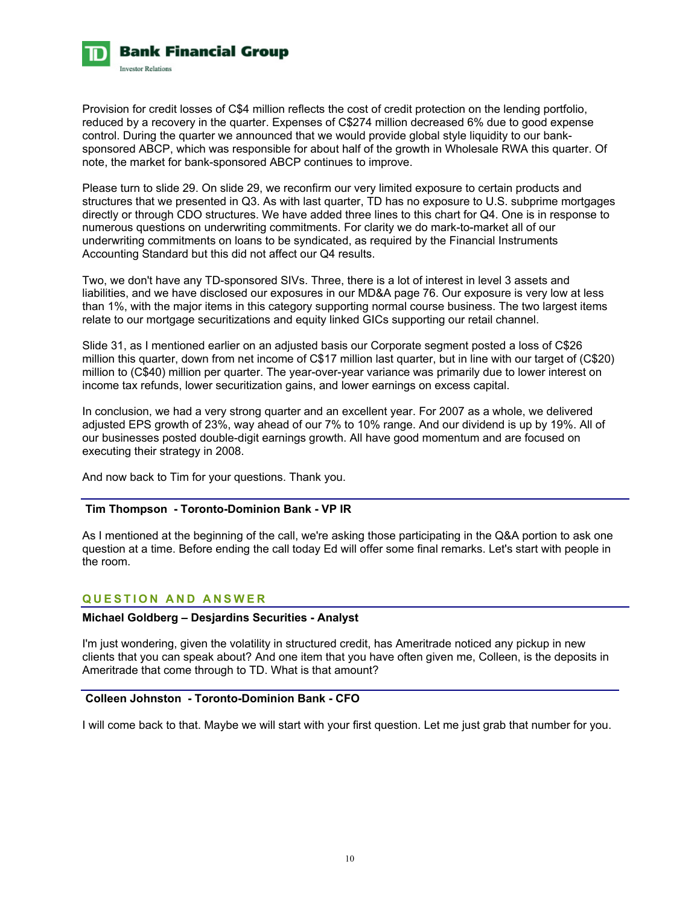

Provision for credit losses of C\$4 million reflects the cost of credit protection on the lending portfolio, reduced by a recovery in the quarter. Expenses of C\$274 million decreased 6% due to good expense control. During the quarter we announced that we would provide global style liquidity to our banksponsored ABCP, which was responsible for about half of the growth in Wholesale RWA this quarter. Of note, the market for bank-sponsored ABCP continues to improve.

Please turn to slide 29. On slide 29, we reconfirm our very limited exposure to certain products and structures that we presented in Q3. As with last quarter, TD has no exposure to U.S. subprime mortgages directly or through CDO structures. We have added three lines to this chart for Q4. One is in response to numerous questions on underwriting commitments. For clarity we do mark-to-market all of our underwriting commitments on loans to be syndicated, as required by the Financial Instruments Accounting Standard but this did not affect our Q4 results.

Two, we don't have any TD-sponsored SIVs. Three, there is a lot of interest in level 3 assets and liabilities, and we have disclosed our exposures in our MD&A page 76. Our exposure is very low at less than 1%, with the major items in this category supporting normal course business. The two largest items relate to our mortgage securitizations and equity linked GICs supporting our retail channel.

Slide 31, as I mentioned earlier on an adjusted basis our Corporate segment posted a loss of C\$26 million this quarter, down from net income of C\$17 million last quarter, but in line with our target of (C\$20) million to (C\$40) million per quarter. The year-over-year variance was primarily due to lower interest on income tax refunds, lower securitization gains, and lower earnings on excess capital.

In conclusion, we had a very strong quarter and an excellent year. For 2007 as a whole, we delivered adjusted EPS growth of 23%, way ahead of our 7% to 10% range. And our dividend is up by 19%. All of our businesses posted double-digit earnings growth. All have good momentum and are focused on executing their strategy in 2008.

And now back to Tim for your questions. Thank you.

## **Tim Thompson - Toronto-Dominion Bank - VP IR**

As I mentioned at the beginning of the call, we're asking those participating in the Q&A portion to ask one question at a time. Before ending the call today Ed will offer some final remarks. Let's start with people in the room.

## **QUESTION AND ANSWER**

## **Michael Goldberg – Desjardins Securities - Analyst**

I'm just wondering, given the volatility in structured credit, has Ameritrade noticed any pickup in new clients that you can speak about? And one item that you have often given me, Colleen, is the deposits in Ameritrade that come through to TD. What is that amount?

#### **Colleen Johnston - Toronto-Dominion Bank - CFO**

I will come back to that. Maybe we will start with your first question. Let me just grab that number for you.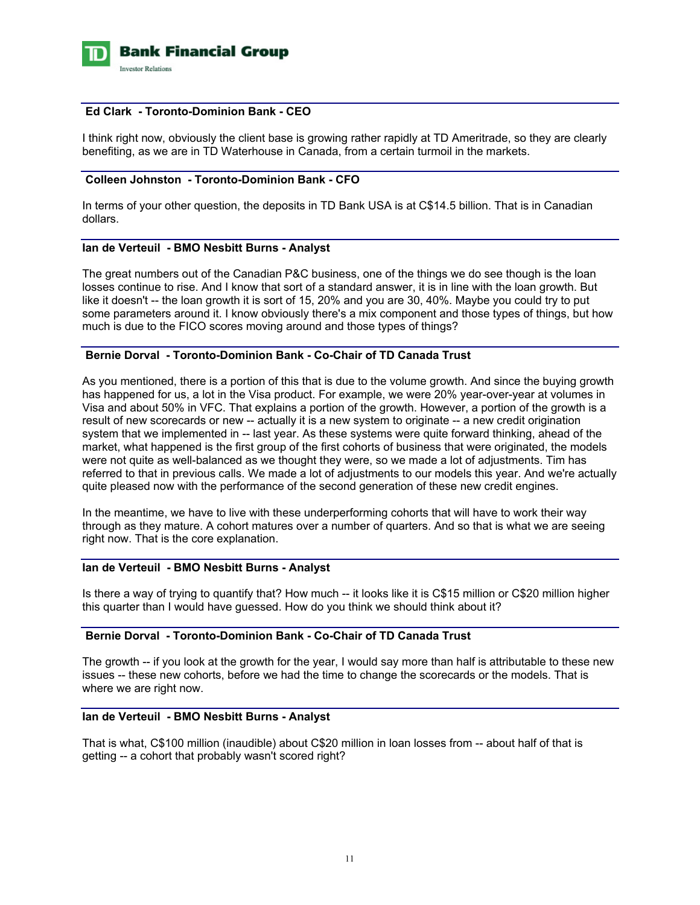

#### **Ed Clark - Toronto-Dominion Bank - CEO**

I think right now, obviously the client base is growing rather rapidly at TD Ameritrade, so they are clearly benefiting, as we are in TD Waterhouse in Canada, from a certain turmoil in the markets.

## **Colleen Johnston - Toronto-Dominion Bank - CFO**

In terms of your other question, the deposits in TD Bank USA is at C\$14.5 billion. That is in Canadian dollars.

## **Ian de Verteuil - BMO Nesbitt Burns - Analyst**

The great numbers out of the Canadian P&C business, one of the things we do see though is the loan losses continue to rise. And I know that sort of a standard answer, it is in line with the loan growth. But like it doesn't -- the loan growth it is sort of 15, 20% and you are 30, 40%. Maybe you could try to put some parameters around it. I know obviously there's a mix component and those types of things, but how much is due to the FICO scores moving around and those types of things?

## **Bernie Dorval - Toronto-Dominion Bank - Co-Chair of TD Canada Trust**

As you mentioned, there is a portion of this that is due to the volume growth. And since the buying growth has happened for us, a lot in the Visa product. For example, we were 20% year-over-year at volumes in Visa and about 50% in VFC. That explains a portion of the growth. However, a portion of the growth is a result of new scorecards or new -- actually it is a new system to originate -- a new credit origination system that we implemented in -- last year. As these systems were quite forward thinking, ahead of the market, what happened is the first group of the first cohorts of business that were originated, the models were not quite as well-balanced as we thought they were, so we made a lot of adjustments. Tim has referred to that in previous calls. We made a lot of adjustments to our models this year. And we're actually quite pleased now with the performance of the second generation of these new credit engines.

In the meantime, we have to live with these underperforming cohorts that will have to work their way through as they mature. A cohort matures over a number of quarters. And so that is what we are seeing right now. That is the core explanation.

#### **Ian de Verteuil - BMO Nesbitt Burns - Analyst**

Is there a way of trying to quantify that? How much -- it looks like it is C\$15 million or C\$20 million higher this quarter than I would have guessed. How do you think we should think about it?

## **Bernie Dorval - Toronto-Dominion Bank - Co-Chair of TD Canada Trust**

The growth -- if you look at the growth for the year, I would say more than half is attributable to these new issues -- these new cohorts, before we had the time to change the scorecards or the models. That is where we are right now.

## **Ian de Verteuil - BMO Nesbitt Burns - Analyst**

That is what, C\$100 million (inaudible) about C\$20 million in loan losses from -- about half of that is getting -- a cohort that probably wasn't scored right?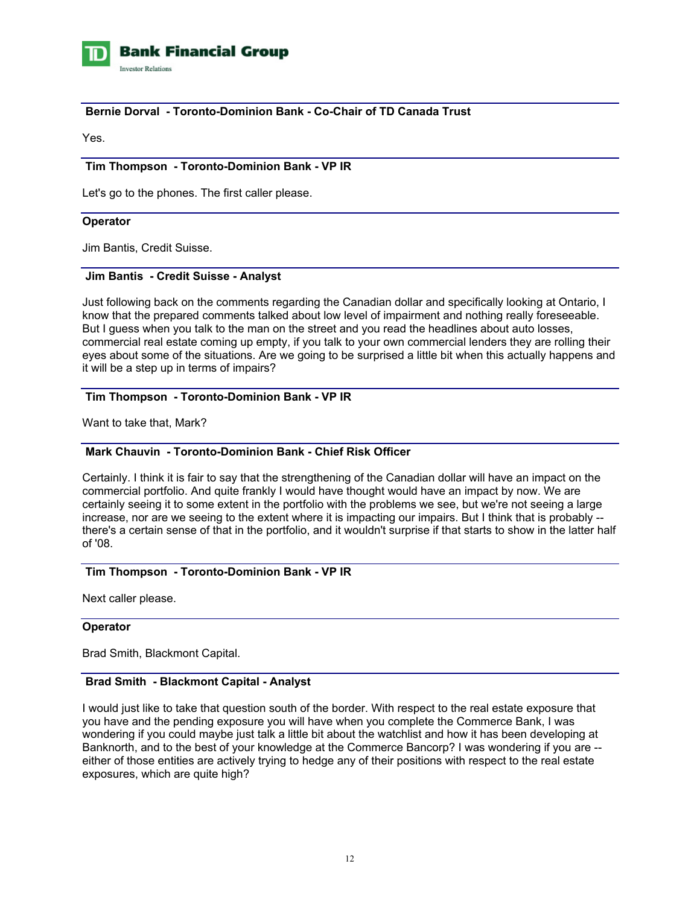

### **Bernie Dorval - Toronto-Dominion Bank - Co-Chair of TD Canada Trust**

Yes.

#### **Tim Thompson - Toronto-Dominion Bank - VP IR**

Let's go to the phones. The first caller please.

#### **Operator**

Jim Bantis, Credit Suisse.

# **Jim Bantis - Credit Suisse - Analyst**

Just following back on the comments regarding the Canadian dollar and specifically looking at Ontario, I know that the prepared comments talked about low level of impairment and nothing really foreseeable. But I guess when you talk to the man on the street and you read the headlines about auto losses, commercial real estate coming up empty, if you talk to your own commercial lenders they are rolling their eyes about some of the situations. Are we going to be surprised a little bit when this actually happens and it will be a step up in terms of impairs?

## **Tim Thompson - Toronto-Dominion Bank - VP IR**

Want to take that, Mark?

## **Mark Chauvin - Toronto-Dominion Bank - Chief Risk Officer**

Certainly. I think it is fair to say that the strengthening of the Canadian dollar will have an impact on the commercial portfolio. And quite frankly I would have thought would have an impact by now. We are certainly seeing it to some extent in the portfolio with the problems we see, but we're not seeing a large increase, nor are we seeing to the extent where it is impacting our impairs. But I think that is probably - there's a certain sense of that in the portfolio, and it wouldn't surprise if that starts to show in the latter half of '08.

## **Tim Thompson - Toronto-Dominion Bank - VP IR**

Next caller please.

#### **Operator**

Brad Smith, Blackmont Capital.

# **Brad Smith - Blackmont Capital - Analyst**

I would just like to take that question south of the border. With respect to the real estate exposure that you have and the pending exposure you will have when you complete the Commerce Bank, I was wondering if you could maybe just talk a little bit about the watchlist and how it has been developing at Banknorth, and to the best of your knowledge at the Commerce Bancorp? I was wondering if you are - either of those entities are actively trying to hedge any of their positions with respect to the real estate exposures, which are quite high?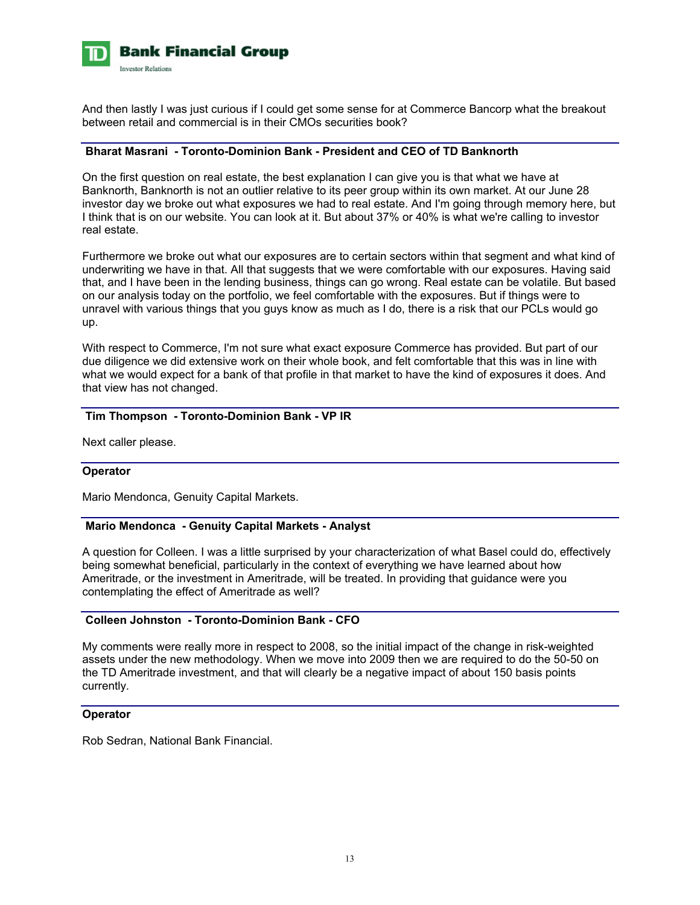

And then lastly I was just curious if I could get some sense for at Commerce Bancorp what the breakout between retail and commercial is in their CMOs securities book?

## **Bharat Masrani - Toronto-Dominion Bank - President and CEO of TD Banknorth**

On the first question on real estate, the best explanation I can give you is that what we have at Banknorth, Banknorth is not an outlier relative to its peer group within its own market. At our June 28 investor day we broke out what exposures we had to real estate. And I'm going through memory here, but I think that is on our website. You can look at it. But about 37% or 40% is what we're calling to investor real estate.

Furthermore we broke out what our exposures are to certain sectors within that segment and what kind of underwriting we have in that. All that suggests that we were comfortable with our exposures. Having said that, and I have been in the lending business, things can go wrong. Real estate can be volatile. But based on our analysis today on the portfolio, we feel comfortable with the exposures. But if things were to unravel with various things that you guys know as much as I do, there is a risk that our PCLs would go up.

With respect to Commerce, I'm not sure what exact exposure Commerce has provided. But part of our due diligence we did extensive work on their whole book, and felt comfortable that this was in line with what we would expect for a bank of that profile in that market to have the kind of exposures it does. And that view has not changed.

# **Tim Thompson - Toronto-Dominion Bank - VP IR**

Next caller please.

#### **Operator**

Mario Mendonca, Genuity Capital Markets.

## **Mario Mendonca - Genuity Capital Markets - Analyst**

A question for Colleen. I was a little surprised by your characterization of what Basel could do, effectively being somewhat beneficial, particularly in the context of everything we have learned about how Ameritrade, or the investment in Ameritrade, will be treated. In providing that guidance were you contemplating the effect of Ameritrade as well?

# **Colleen Johnston - Toronto-Dominion Bank - CFO**

My comments were really more in respect to 2008, so the initial impact of the change in risk-weighted assets under the new methodology. When we move into 2009 then we are required to do the 50-50 on the TD Ameritrade investment, and that will clearly be a negative impact of about 150 basis points currently.

#### **Operator**

Rob Sedran, National Bank Financial.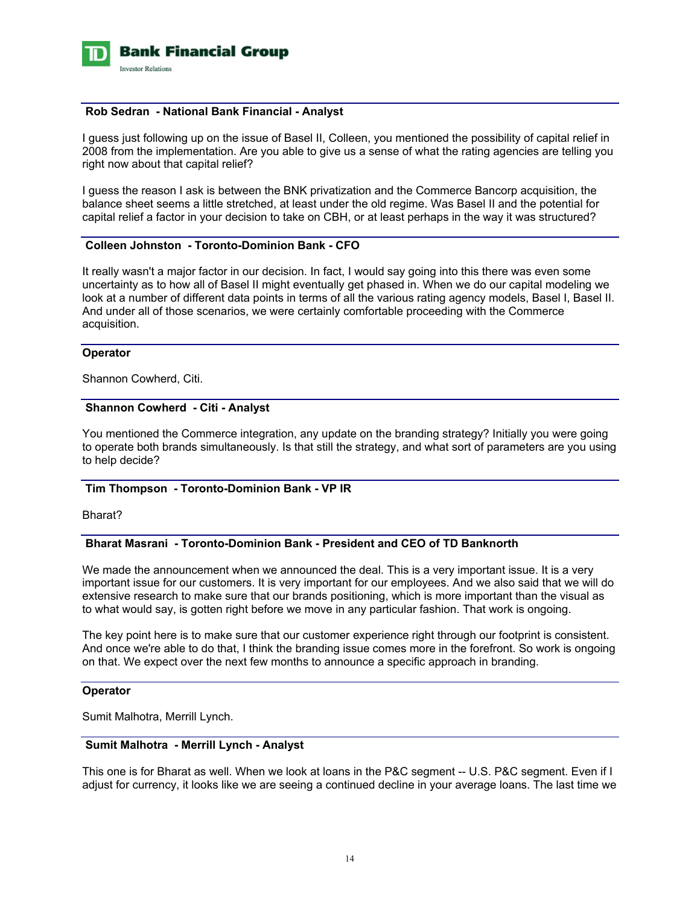

#### **Rob Sedran - National Bank Financial - Analyst**

I guess just following up on the issue of Basel II, Colleen, you mentioned the possibility of capital relief in 2008 from the implementation. Are you able to give us a sense of what the rating agencies are telling you right now about that capital relief?

I guess the reason I ask is between the BNK privatization and the Commerce Bancorp acquisition, the balance sheet seems a little stretched, at least under the old regime. Was Basel II and the potential for capital relief a factor in your decision to take on CBH, or at least perhaps in the way it was structured?

## **Colleen Johnston - Toronto-Dominion Bank - CFO**

It really wasn't a major factor in our decision. In fact, I would say going into this there was even some uncertainty as to how all of Basel II might eventually get phased in. When we do our capital modeling we look at a number of different data points in terms of all the various rating agency models, Basel I, Basel II. And under all of those scenarios, we were certainly comfortable proceeding with the Commerce acquisition.

#### **Operator**

Shannon Cowherd, Citi.

#### **Shannon Cowherd - Citi - Analyst**

You mentioned the Commerce integration, any update on the branding strategy? Initially you were going to operate both brands simultaneously. Is that still the strategy, and what sort of parameters are you using to help decide?

## **Tim Thompson - Toronto-Dominion Bank - VP IR**

Bharat?

# **Bharat Masrani - Toronto-Dominion Bank - President and CEO of TD Banknorth**

We made the announcement when we announced the deal. This is a very important issue. It is a very important issue for our customers. It is very important for our employees. And we also said that we will do extensive research to make sure that our brands positioning, which is more important than the visual as to what would say, is gotten right before we move in any particular fashion. That work is ongoing.

The key point here is to make sure that our customer experience right through our footprint is consistent. And once we're able to do that, I think the branding issue comes more in the forefront. So work is ongoing on that. We expect over the next few months to announce a specific approach in branding.

#### **Operator**

Sumit Malhotra, Merrill Lynch.

## **Sumit Malhotra - Merrill Lynch - Analyst**

This one is for Bharat as well. When we look at loans in the P&C segment -- U.S. P&C segment. Even if I adjust for currency, it looks like we are seeing a continued decline in your average loans. The last time we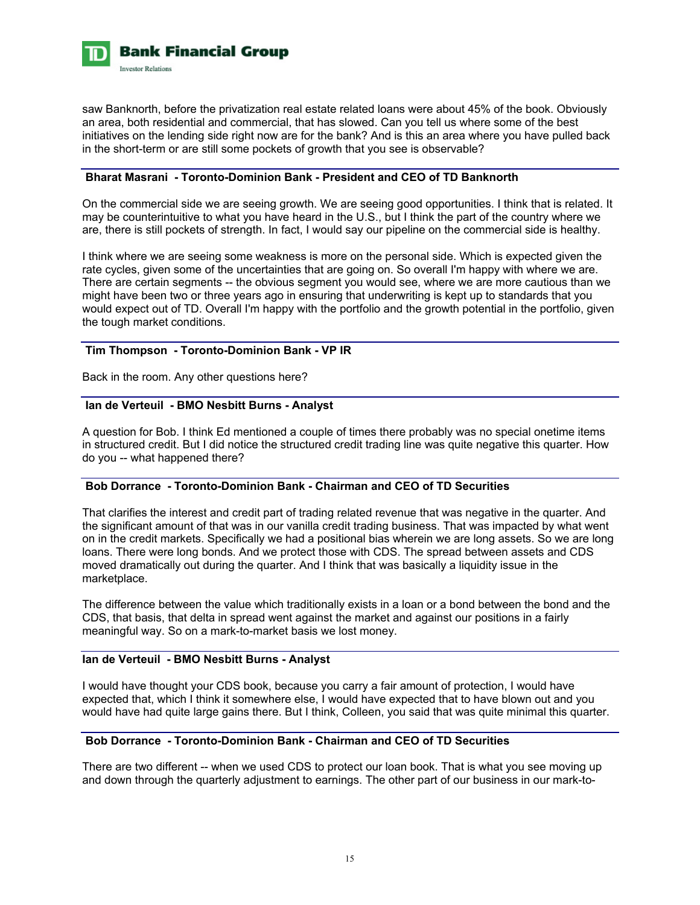

saw Banknorth, before the privatization real estate related loans were about 45% of the book. Obviously an area, both residential and commercial, that has slowed. Can you tell us where some of the best initiatives on the lending side right now are for the bank? And is this an area where you have pulled back in the short-term or are still some pockets of growth that you see is observable?

# **Bharat Masrani - Toronto-Dominion Bank - President and CEO of TD Banknorth**

On the commercial side we are seeing growth. We are seeing good opportunities. I think that is related. It may be counterintuitive to what you have heard in the U.S., but I think the part of the country where we are, there is still pockets of strength. In fact, I would say our pipeline on the commercial side is healthy.

I think where we are seeing some weakness is more on the personal side. Which is expected given the rate cycles, given some of the uncertainties that are going on. So overall I'm happy with where we are. There are certain segments -- the obvious segment you would see, where we are more cautious than we might have been two or three years ago in ensuring that underwriting is kept up to standards that you would expect out of TD. Overall I'm happy with the portfolio and the growth potential in the portfolio, given the tough market conditions.

#### **Tim Thompson - Toronto-Dominion Bank - VP IR**

Back in the room. Any other questions here?

## **Ian de Verteuil - BMO Nesbitt Burns - Analyst**

A question for Bob. I think Ed mentioned a couple of times there probably was no special onetime items in structured credit. But I did notice the structured credit trading line was quite negative this quarter. How do you -- what happened there?

## **Bob Dorrance - Toronto-Dominion Bank - Chairman and CEO of TD Securities**

That clarifies the interest and credit part of trading related revenue that was negative in the quarter. And the significant amount of that was in our vanilla credit trading business. That was impacted by what went on in the credit markets. Specifically we had a positional bias wherein we are long assets. So we are long loans. There were long bonds. And we protect those with CDS. The spread between assets and CDS moved dramatically out during the quarter. And I think that was basically a liquidity issue in the marketplace.

The difference between the value which traditionally exists in a loan or a bond between the bond and the CDS, that basis, that delta in spread went against the market and against our positions in a fairly meaningful way. So on a mark-to-market basis we lost money.

#### **Ian de Verteuil - BMO Nesbitt Burns - Analyst**

I would have thought your CDS book, because you carry a fair amount of protection, I would have expected that, which I think it somewhere else, I would have expected that to have blown out and you would have had quite large gains there. But I think, Colleen, you said that was quite minimal this quarter.

# **Bob Dorrance - Toronto-Dominion Bank - Chairman and CEO of TD Securities**

There are two different -- when we used CDS to protect our loan book. That is what you see moving up and down through the quarterly adjustment to earnings. The other part of our business in our mark-to-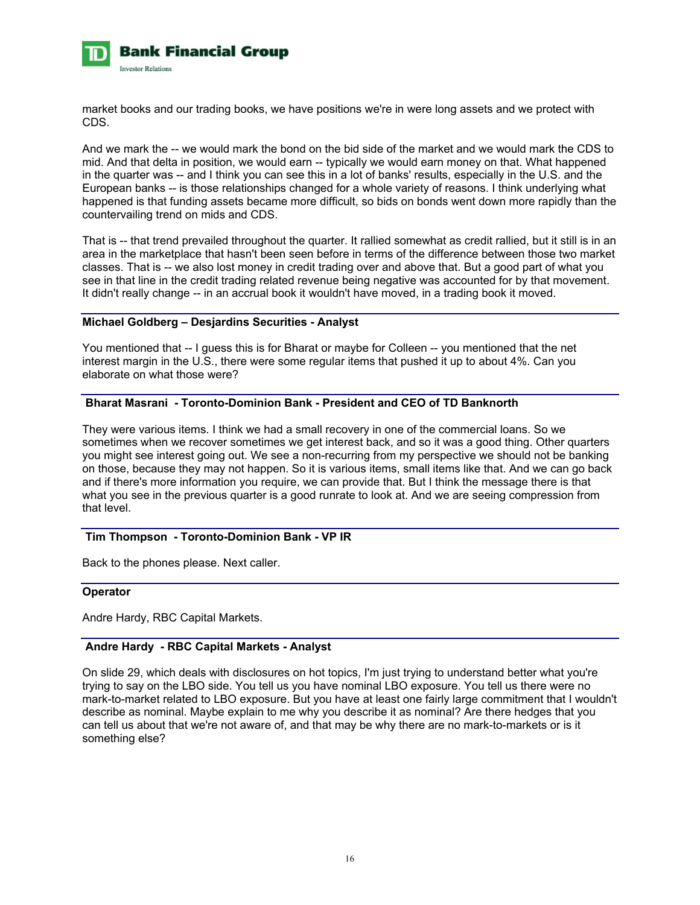

market books and our trading books, we have positions we're in were long assets and we protect with CDS.

And we mark the -- we would mark the bond on the bid side of the market and we would mark the CDS to mid. And that delta in position, we would earn -- typically we would earn money on that. What happened in the quarter was -- and I think you can see this in a lot of banks' results, especially in the U.S. and the European banks -- is those relationships changed for a whole variety of reasons. I think underlying what happened is that funding assets became more difficult, so bids on bonds went down more rapidly than the countervailing trend on mids and CDS.

That is -- that trend prevailed throughout the quarter. It rallied somewhat as credit rallied, but it still is in an area in the marketplace that hasn't been seen before in terms of the difference between those two market classes. That is -- we also lost money in credit trading over and above that. But a good part of what you see in that line in the credit trading related revenue being negative was accounted for by that movement. It didn't really change -- in an accrual book it wouldn't have moved, in a trading book it moved.

## **Michael Goldberg – Desjardins Securities - Analyst**

You mentioned that -- I guess this is for Bharat or maybe for Colleen -- you mentioned that the net interest margin in the U.S., there were some regular items that pushed it up to about 4%. Can you elaborate on what those were?

# **Bharat Masrani - Toronto-Dominion Bank - President and CEO of TD Banknorth**

They were various items. I think we had a small recovery in one of the commercial loans. So we sometimes when we recover sometimes we get interest back, and so it was a good thing. Other quarters you might see interest going out. We see a non-recurring from my perspective we should not be banking on those, because they may not happen. So it is various items, small items like that. And we can go back and if there's more information you require, we can provide that. But I think the message there is that what you see in the previous quarter is a good runrate to look at. And we are seeing compression from that level.

#### **Tim Thompson - Toronto-Dominion Bank - VP IR**

Back to the phones please. Next caller.

#### **Operator**

Andre Hardy, RBC Capital Markets.

## **Andre Hardy - RBC Capital Markets - Analyst**

On slide 29, which deals with disclosures on hot topics, I'm just trying to understand better what you're trying to say on the LBO side. You tell us you have nominal LBO exposure. You tell us there were no mark-to-market related to LBO exposure. But you have at least one fairly large commitment that I wouldn't describe as nominal. Maybe explain to me why you describe it as nominal? Are there hedges that you can tell us about that we're not aware of, and that may be why there are no mark-to-markets or is it something else?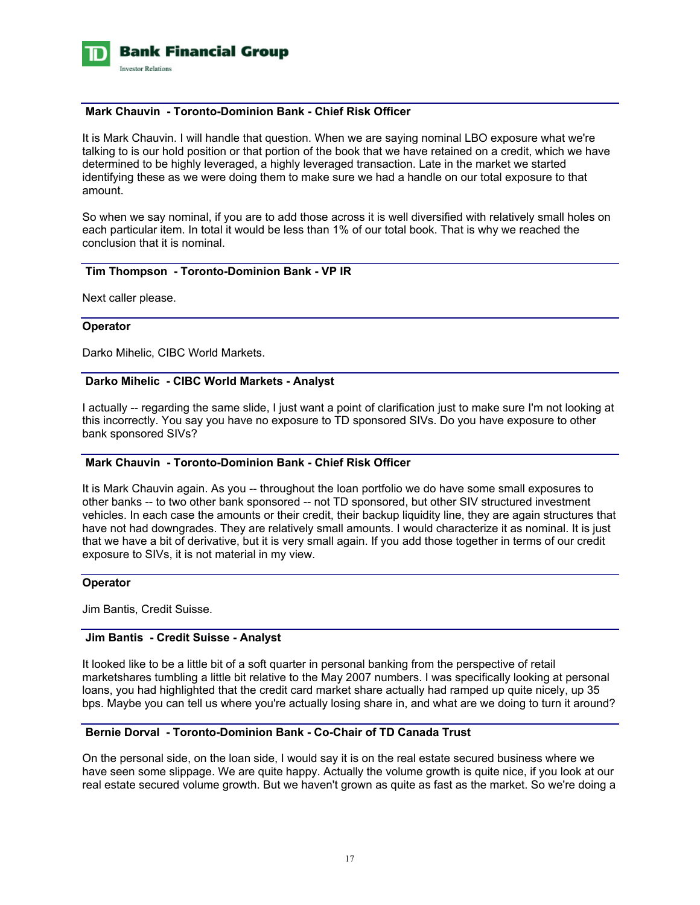

#### **Mark Chauvin - Toronto-Dominion Bank - Chief Risk Officer**

It is Mark Chauvin. I will handle that question. When we are saying nominal LBO exposure what we're talking to is our hold position or that portion of the book that we have retained on a credit, which we have determined to be highly leveraged, a highly leveraged transaction. Late in the market we started identifying these as we were doing them to make sure we had a handle on our total exposure to that amount.

So when we say nominal, if you are to add those across it is well diversified with relatively small holes on each particular item. In total it would be less than 1% of our total book. That is why we reached the conclusion that it is nominal.

#### **Tim Thompson - Toronto-Dominion Bank - VP IR**

Next caller please.

#### **Operator**

Darko Mihelic, CIBC World Markets.

#### **Darko Mihelic - CIBC World Markets - Analyst**

I actually -- regarding the same slide, I just want a point of clarification just to make sure I'm not looking at this incorrectly. You say you have no exposure to TD sponsored SIVs. Do you have exposure to other bank sponsored SIVs?

#### **Mark Chauvin - Toronto-Dominion Bank - Chief Risk Officer**

It is Mark Chauvin again. As you -- throughout the loan portfolio we do have some small exposures to other banks -- to two other bank sponsored -- not TD sponsored, but other SIV structured investment vehicles. In each case the amounts or their credit, their backup liquidity line, they are again structures that have not had downgrades. They are relatively small amounts. I would characterize it as nominal. It is just that we have a bit of derivative, but it is very small again. If you add those together in terms of our credit exposure to SIVs, it is not material in my view.

#### **Operator**

Jim Bantis, Credit Suisse.

## **Jim Bantis - Credit Suisse - Analyst**

It looked like to be a little bit of a soft quarter in personal banking from the perspective of retail marketshares tumbling a little bit relative to the May 2007 numbers. I was specifically looking at personal loans, you had highlighted that the credit card market share actually had ramped up quite nicely, up 35 bps. Maybe you can tell us where you're actually losing share in, and what are we doing to turn it around?

## **Bernie Dorval - Toronto-Dominion Bank - Co-Chair of TD Canada Trust**

On the personal side, on the loan side, I would say it is on the real estate secured business where we have seen some slippage. We are quite happy. Actually the volume growth is quite nice, if you look at our real estate secured volume growth. But we haven't grown as quite as fast as the market. So we're doing a